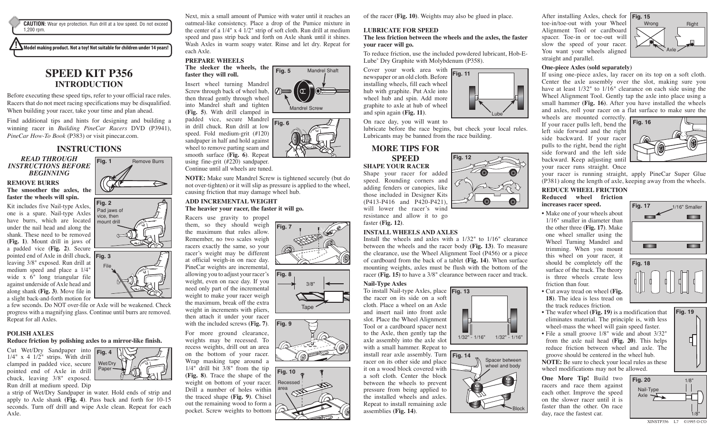**CAUTION:** Wear eye protection. Run drill at a low speed. Do not exceed 1,200 rpm.

**Model making product. Not a toy! Not suitable for children under 14 years!**

# **SPEED KIT P356 INTRODUCTION**

Before executing these speed tips, refer to your official race rules. Racers that do not meet racing specifications may be disqualified. When building your racer, take your time and plan ahead.

Find additional tips and hints for designing and building a winning racer in *Building PineCar Racers* DVD (P3941), *PineCar How-To Book* (P383) or visit pinecar.com.

## **INSTRUCTIONS**

*READ THROUGH INSTRUCTIONS BEFORE BEGINNING*

# Fig. 1 **Remove Burrs**

⇔

## **REMOVE BURRS The smoother the axles, the**

**faster the wheels will spin.** Kit includes five Nail-type Axles, one is a spare. Nail-type Axles have burrs, which are located under the nail head and along the shank. These need to be removed **(Fig. 1)**. Mount drill in jaws of a padded vice **(Fig. 2)**. Secure pointed end of Axle in drill chuck, **Fig. 3**  leaving 3/8" exposed. Run drill at medium speed and place a 1/4" wide x 6" long triangular file against underside of Axle head and along shank **(Fig. 3)**. Move file in





a slight back-and-forth motion for a few seconds. Do NOT over-file or Axle will be weakened. Check progress with a magnifying glass. Continue until burrs are removed. Repeat for all Axles.

## **POLISH AXLES**

#### **Reduce friction by polishing axles to a mirror-like finish.**

Cut Wet/Dry Sandpaper into **Fig. 4**   $1/4$ " x 4  $1/2$ " strips. With drill clamped in padded vice, secure Wet/Dry pointed end of Axle in drill chuck, leaving 3/8" exposed. Run drill at medium speed. Dip

a strip of Wet/Dry Sandpaper in water. Hold ends of strip and apply to Axle shank **(Fig. 4)**. Pass back and forth for 10-15 seconds. Turn off drill and wipe Axle clean. Repeat for each Axle.

Paper

Next, mix a small amount of Pumice with water until it reaches an oatmeal-like consistency. Place a drop of the Pumice mixture in the center of a 1/4" x 4 1/2" strip of soft cloth. Run drill at medium speed and pass strip back and forth on Axle shank until it shines. Wash Axles in warm soapy water. Rinse and let dry. Repeat for each Axle.

Mandrel Shaft

## **PREPARE WHEELS**

**The sleeker the wheels, the faster they will roll.** Insert wheel turning Mandrel Screw through back of wheel hub, then thread gently through wheel into Mandrel shaft and tighten **(Fig. 5)**. With drill clamped in **Fig. 5**  Mandrel Screw



using fine-grit (#220) sandpaper. Continue until all wheels are tuned.

**NOTE:** Make sure Mandrel Screw is tightened securely (but do not over-tighten) or it will slip as pressure is applied to the wheel, causing friction that may damage wheel hub.

**Fig. 7** 

**Fig. 9** 

**Fig. 8** 

3/8"

Tape

**Fig. 10**  Recessed area

#### **ADD INCREMENTAL WEIGHT The heavier your racer, the faster it will go.**

Racers use gravity to propel

them, so they should weigh the maximum that rules allow. Remember, no two scales weigh racers exactly the same, so your racer's weight may be different at official weigh-in on race day. PineCar weights are incremental, allowing you to adjust your racer's weight, even on race day. If you need only part of the incremental weight to make your racer weigh the maximum, break off the extra weight in increments with pliers, then attach it under your racer with the included screws **(Fig. 7)**.

For more ground clearance, weights may be recessed. To recess weights, drill out an area on the bottom of your racer. Wrap masking tape around a 1/4" drill bit 3/8" from the tip **(Fig. 8)**. Trace the shape of the weight on bottom of your racer. Drill a number of holes within the traced shape **(Fig. 9)**. Chisel out the remaining wood to form a pocket. Screw weights to bottom

of the racer **(Fig. 10)**. Weights may also be glued in place.

## **LUBRICATE FOR SPEED**

#### **The less friction between the wheels and the axles, the faster your racer will go.**

To reduce friction, use the included powdered lubricant, Hob-E-Lube® Dry Graphite with Molybdenum (P358).

**Fig. 11** 

**Fig. 12** 

Lube

1/32" - 1/16" 1/32" - 1/16"

**Spacer between** wheel and body

Block

Cover your work area with newspaper or an old cloth. Before installing wheels, fill each wheel hub with graphite. Put Axle into wheel hub and spin. Add more graphite to axle at hub of wheel and spin again **(Fig. 11)**.

On race day, you will want to

lubricate before the race begins, but check your local rules. Lubricants may be banned from the race building.

## **MORE TIPS FOR**

#### **SPEED SHAPE YOUR RACER**

Shape your racer for added speed. Rounding corners and adding fenders or canopies, like those included in Designer Kits (P413-P416 and P420-P421), will lower the racer's wind

resistance and allow it to go faster **(Fig. 12)**.

## **INSTALL WHEELS AND AXLES**

Install the wheels and axles with a 1/32" to 1/16" clearance between the wheels and the racer body **(Fig. 13)**. To measure the clearance, use the Wheel Alignment Tool (P456) or a piece of cardboard from the back of a tablet **(Fig. 14)**. When surface mounting weights, axles must be flush with the bottom of the racer **(Fig. 15)** to have a 3/8" clearance between racer and track.

#### **Nail-Type Axles**

To install Nail-type Axles, place **Fig. 13**  the racer on its side on a soft cloth. Place a wheel on an Axle and insert nail into front axle slot. Place the Wheel Alignment Tool or a cardboard spacer next to the Axle, then gently tap the axle assembly into the axle slot with a small hammer. Repeat to

install rear axle assembly. Turn Fig. 14 racer on its other side and place it on a wood block covered with a soft cloth. Center the block between the wheels to prevent pressure from being applied to the installed wheels and axles. Repeat to install remaining axle assemblies **(Fig. 14)**.





#### **One-piece Axles (sold separately)**

If using one-piece axles, lay racer on its top on a soft cloth. Center the axle assembly over the slot, making sure you have at least  $1/32$ " to  $1/16$ " clearance on each side using the Wheel Alignment Tool. Gently tap the axle into place using a small hammer **(Fig. 16)**. After you have installed the wheels and axles, roll your racer on a flat surface to make sure the

wheels are mounted correctly. If your racer pulls left, bend the left side forward and the right side backward. If your racer pulls to the right, bend the right side forward and the left side backward. Keep adjusting until your racer runs straight. Once



**Fig. 17** 1/16" Smaller

**BETTER** 

**BETWEEN** 

mm (

**BELLER** 

your racer is running straight, apply PineCar Super Glue (P381) along the length of axle, keeping away from the wheels.

#### **REDUCE WHEEL FRICTION Reduced wheel friction increases racer speed.**

• Make one of your wheels about 1/16" smaller in diameter than the other three **(Fig. 17)**. Make one wheel smaller using the Wheel Turning Mandrel and trimming. When you mount this wheel on your racer, it should be completely off the surface of the track. The theory is three wheels create less friction than four.

- Cut away tread on wheel **(Fig. 18)**. The idea is less tread on the track reduces friction.
- The wafer wheel **(Fig. 19)** is a modification that eliminates material. The principle is, with less wheel-mass the wheel will gain speed faster.
- File a small groove 1/8" wide and about 3/32" from the axle nail head **(Fig. 20)**. This helps reduce friction between wheel and axle. The groove should be centered in the wheel hub. **NOTE:** Be sure to check your local rules as these wheel modifications may not be allowed.

**One More Tip!** Build two racers and race them against each other. Improve the speed on the slower racer until it is faster than the other. On race day, race the fastest car.



XINSTP356 L7 ©1995 O CO



**Fig. 19** 

Ц